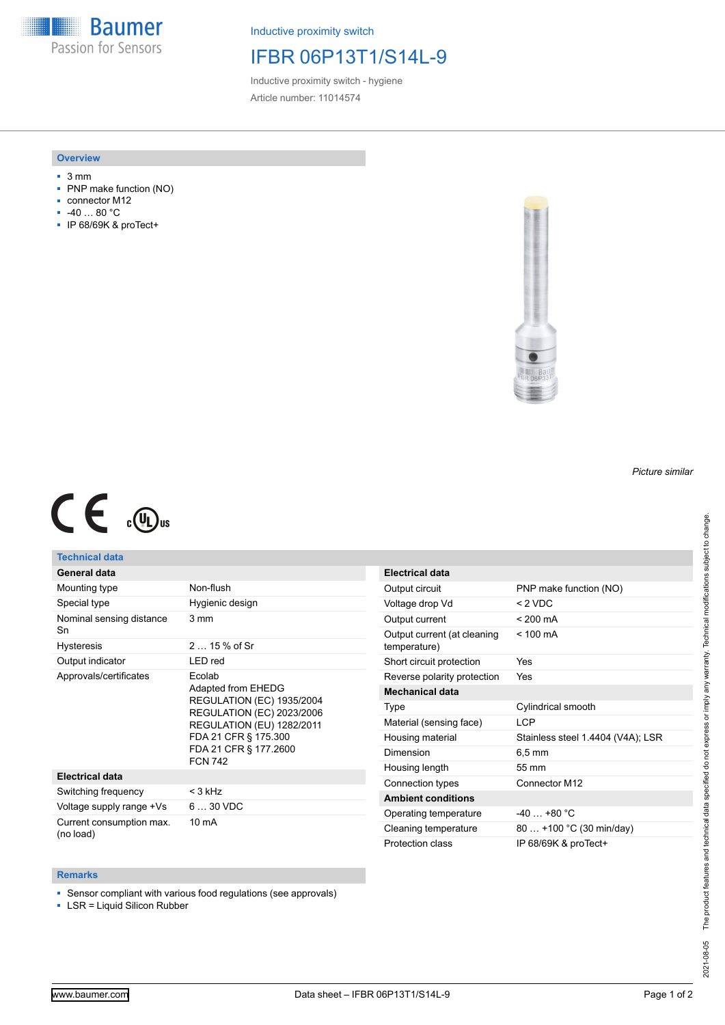**Baumer** Passion for Sensors

Inductive proximity switch

### IFBR 06P13T1/S14L-9

Inductive proximity switch - hygiene Article number: 11014574

#### **Overview**

- 3 mm
- PNP make function (NO)
- connector M12
- -40 … 80 °C
- IP 68/69K & proTect+



# $C \in \mathbb{C}$

#### **Technical data**

#### **General data**

| Mounting type                         | Non-flush                                                                                                                                                                                                   |
|---------------------------------------|-------------------------------------------------------------------------------------------------------------------------------------------------------------------------------------------------------------|
| Special type                          | Hygienic design                                                                                                                                                                                             |
| Nominal sensing distance<br>Sn        | 3 mm                                                                                                                                                                                                        |
| <b>Hysteresis</b>                     | $215%$ of Sr                                                                                                                                                                                                |
| Output indicator                      | LED red                                                                                                                                                                                                     |
| Approvals/certificates                | Ecolab<br>Adapted from EHEDG<br><b>REGULATION (EC) 1935/2004</b><br><b>REGULATION (EC) 2023/2006</b><br><b>REGULATION (EU) 1282/2011</b><br>FDA 21 CFR § 175.300<br>FDA 21 CFR § 177.2600<br><b>FCN 742</b> |
| <b>Electrical data</b>                |                                                                                                                                                                                                             |
| Switching frequency                   | < 3 kHz                                                                                                                                                                                                     |
| Voltage supply range +Vs              | $630$ VDC                                                                                                                                                                                                   |
| Current consumption max.<br>(no load) | $10 \text{ mA}$                                                                                                                                                                                             |

| Electrical data                             |                                   |
|---------------------------------------------|-----------------------------------|
| Output circuit                              | PNP make function (NO)            |
| Voltage drop Vd                             | $<$ 2 VDC                         |
| Output current                              | $< 200 \text{ mA}$                |
| Output current (at cleaning<br>temperature) | $< 100 \text{ mA}$                |
| Short circuit protection                    | Yes                               |
| Reverse polarity protection                 | Yes                               |
| <b>Mechanical data</b>                      |                                   |
| Type                                        | Cylindrical smooth                |
| Material (sensing face)                     | LCP                               |
| Housing material                            | Stainless steel 1.4404 (V4A); LSR |
| Dimension                                   | $6.5 \text{ mm}$                  |
| Housing length                              | 55 mm                             |
| Connection types                            | Connector M12                     |
| <b>Ambient conditions</b>                   |                                   |
| Operating temperature                       | $-40 + 80 °C$                     |
| Cleaning temperature                        | 80  +100 °C (30 min/day)          |
| Protection class                            | IP 68/69K & proTect+              |

# **Remarks**

■ Sensor compliant with various food regulations (see approvals)

■ LSR = Liquid Silicon Rubber

*Picture similar*